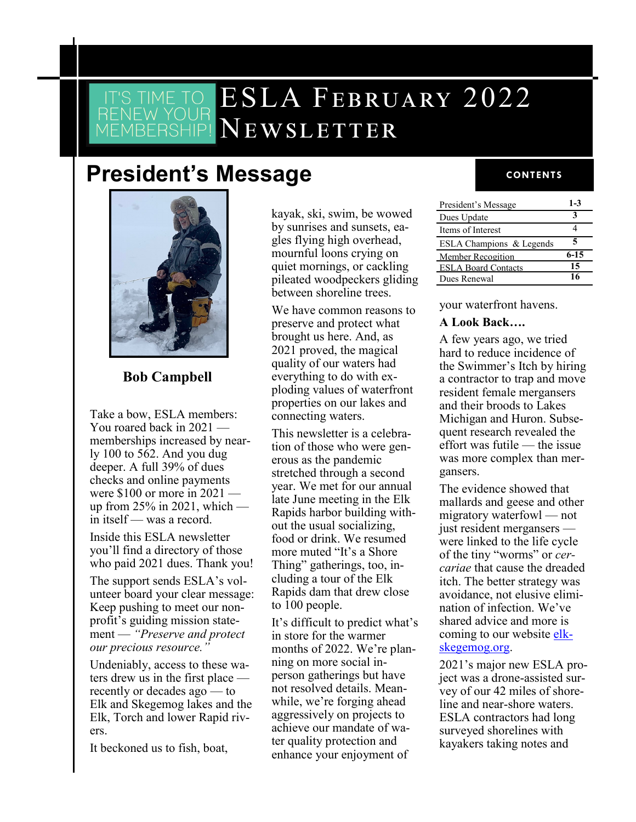# ESLA FEBRUARY 2022 Newsletter

# **President's Message**



#### **Bob Campbell**

Take a bow, ESLA members: You roared back in 2021 memberships increased by nearly 100 to 562. And you dug deeper. A full 39% of dues checks and online payments were \$100 or more in 2021 up from  $25\%$  in 2021, which in itself — was a record.

Inside this ESLA newsletter you'll find a directory of those who paid 2021 dues. Thank you!

The support sends ESLA's volunteer board your clear message: Keep pushing to meet our nonprofit's guiding mission statement — *"Preserve and protect our precious resource."* 

Undeniably, access to these waters drew us in the first place recently or decades ago — to Elk and Skegemog lakes and the Elk, Torch and lower Rapid rivers.

It beckoned us to fish, boat,

kayak, ski, swim, be wowed by sunrises and sunsets, eagles flying high overhead, mournful loons crying on quiet mornings, or cackling pileated woodpeckers gliding between shoreline trees.

We have common reasons to preserve and protect what brought us here. And, as 2021 proved, the magical quality of our waters had everything to do with exploding values of waterfront properties on our lakes and connecting waters.

This newsletter is a celebration of those who were generous as the pandemic stretched through a second year. We met for our annual late June meeting in the Elk Rapids harbor building without the usual socializing, food or drink. We resumed more muted "It's a Shore Thing" gatherings, too, including a tour of the Elk Rapids dam that drew close to 100 people.

It's difficult to predict what's in store for the warmer months of 2022. We're planning on more social inperson gatherings but have not resolved details. Meanwhile, we're forging ahead aggressively on projects to achieve our mandate of water quality protection and enhance your enjoyment of

#### **CONTENTS**

| President's Message        | $1 - 3$  |
|----------------------------|----------|
| Dues Update                |          |
| Items of Interest          |          |
| ESLA Champions & Legends   | 5        |
| Member Recogition          | $6 - 15$ |
| <b>ESLA Board Contacts</b> | 15       |
| Dues Renewal               | 16       |
|                            |          |

your waterfront havens.

#### **A Look Back….**

A few years ago, we tried hard to reduce incidence of the Swimmer's Itch by hiring a contractor to trap and move resident female mergansers and their broods to Lakes Michigan and Huron. Subsequent research revealed the effort was futile — the issue was more complex than mergansers.

The evidence showed that mallards and geese and other migratory waterfowl — not just resident mergansers were linked to the life cycle of the tiny "worms" or *cercariae* that cause the dreaded itch. The better strategy was avoidance, not elusive elimination of infection. We've shared advice and more is coming to our website [elk](file:///C:/Users/User/Downloads/elk-skegemog.org)[skegemog.org.](file:///C:/Users/User/Downloads/elk-skegemog.org) 

2021's major new ESLA project was a drone-assisted survey of our 42 miles of shoreline and near-shore waters. ESLA contractors had long surveyed shorelines with kayakers taking notes and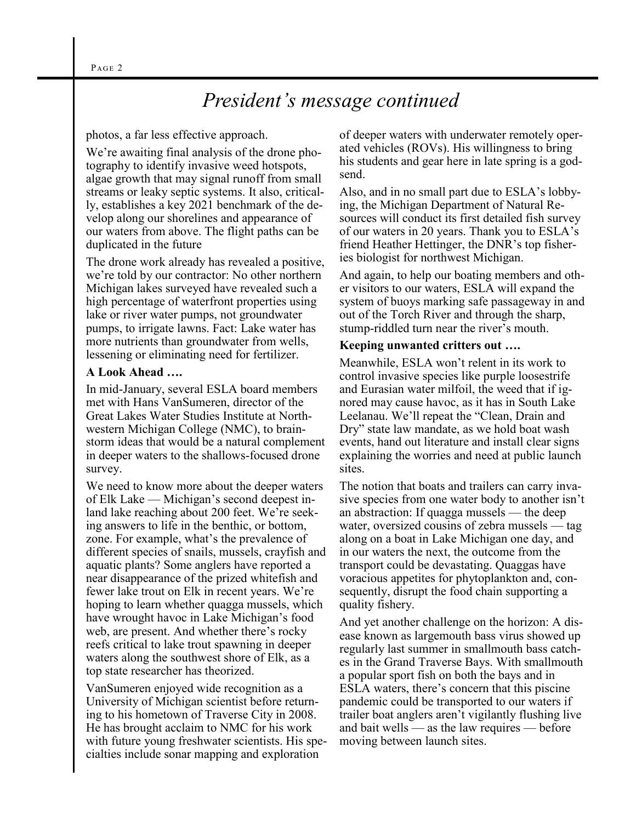# *President's message continued*

#### photos, a far less effective approach.

We're awaiting final analysis of the drone photography to identify invasive weed hotspots, algae growth that may signal runoff from small streams or leaky septic systems. It also, critically, establishes a key 2021 benchmark of the develop along our shorelines and appearance of our waters from above. The flight paths can be duplicated in the future

The drone work already has revealed a positive, we're told by our contractor: No other northern Michigan lakes surveyed have revealed such a high percentage of waterfront properties using lake or river water pumps, not groundwater pumps, to irrigate lawns. Fact: Lake water has more nutrients than groundwater from wells, lessening or eliminating need for fertilizer.

#### **A Look Ahead ….**

In mid-January, several ESLA board members met with Hans VanSumeren, director of the Great Lakes Water Studies Institute at Northwestern Michigan College (NMC), to brainstorm ideas that would be a natural complement in deeper waters to the shallows-focused drone survey.

We need to know more about the deeper waters of Elk Lake — Michigan's second deepest inland lake reaching about 200 feet. We're seeking answers to life in the benthic, or bottom, zone. For example, what's the prevalence of different species of snails, mussels, crayfish and aquatic plants? Some anglers have reported a near disappearance of the prized whitefish and fewer lake trout on Elk in recent years. We're hoping to learn whether quagga mussels, which have wrought havoc in Lake Michigan's food web, are present. And whether there's rocky reefs critical to lake trout spawning in deeper waters along the southwest shore of Elk, as a top state researcher has theorized.

VanSumeren enjoyed wide recognition as a University of Michigan scientist before returning to his hometown of Traverse City in 2008. He has brought acclaim to NMC for his work with future young freshwater scientists. His specialties include sonar mapping and exploration

of deeper waters with underwater remotely operated vehicles (ROVs). His willingness to bring his students and gear here in late spring is a godsend.

Also, and in no small part due to ESLA's lobbying, the Michigan Department of Natural Resources will conduct its first detailed fish survey of our waters in 20 years. Thank you to ESLA's friend Heather Hettinger, the DNR's top fisheries biologist for northwest Michigan.

And again, to help our boating members and other visitors to our waters, ESLA will expand the system of buoys marking safe passageway in and out of the Torch River and through the sharp, stump-riddled turn near the river's mouth.

#### **Keeping unwanted critters out ….**

Meanwhile, ESLA won't relent in its work to control invasive species like purple loosestrife and Eurasian water milfoil, the weed that if ignored may cause havoc, as it has in South Lake Leelanau. We'll repeat the "Clean, Drain and Dry" state law mandate, as we hold boat wash events, hand out literature and install clear signs explaining the worries and need at public launch sites.

The notion that boats and trailers can carry invasive species from one water body to another isn't an abstraction: If quagga mussels — the deep water, oversized cousins of zebra mussels — tag along on a boat in Lake Michigan one day, and in our waters the next, the outcome from the transport could be devastating. Quaggas have voracious appetites for phytoplankton and, consequently, disrupt the food chain supporting a quality fishery.

And yet another challenge on the horizon: A disease known as largemouth bass virus showed up regularly last summer in smallmouth bass catches in the Grand Traverse Bays. With smallmouth a popular sport fish on both the bays and in ESLA waters, there's concern that this piscine pandemic could be transported to our waters if trailer boat anglers aren't vigilantly flushing live and bait wells — as the law requires — before moving between launch sites.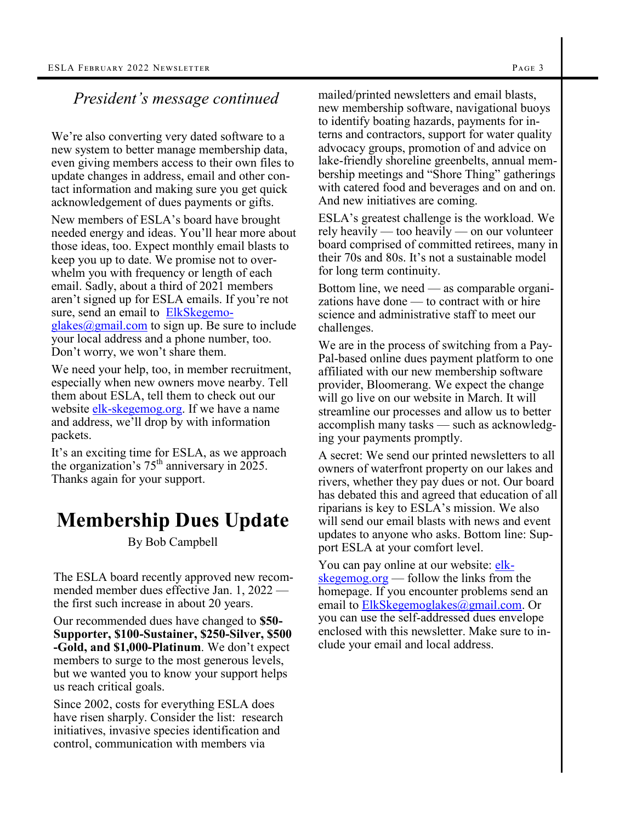#### *President's message continued*

We're also converting very dated software to a new system to better manage membership data, even giving members access to their own files to update changes in address, email and other contact information and making sure you get quick acknowledgement of dues payments or gifts.

New members of ESLA's board have brought needed energy and ideas. You'll hear more about those ideas, too. Expect monthly email blasts to keep you up to date. We promise not to overwhelm you with frequency or length of each email. Sadly, about a third of 2021 members aren't signed up for ESLA emails. If you're not sure, send an email to **[ElkSkegemo](mailto:ElkSkegemoglakes@gmail.com)** $g$ lakes $@g$ mail.com to sign up. Be sure to include your local address and a phone number, too. Don't worry, we won't share them.

We need your help, too, in member recruitment, especially when new owners move nearby. Tell them about ESLA, tell them to check out our website elk-[skegemog.org.](file:///C:/Users/User/Downloads/elk-skegemog.org) If we have a name and address, we'll drop by with information packets.

It's an exciting time for ESLA, as we approach the organization's  $75<sup>th</sup>$  anniversary in 2025. Thanks again for your support.

## **Membership Dues Update**

By Bob Campbell

The ESLA board recently approved new recommended member dues effective Jan. 1, 2022 the first such increase in about 20 years.

Our recommended dues have changed to **\$50- Supporter, \$100-Sustainer, \$250-Silver, \$500 -Gold, and \$1,000-Platinum**. We don't expect members to surge to the most generous levels, but we wanted you to know your support helps us reach critical goals.

Since 2002, costs for everything ESLA does have risen sharply. Consider the list: research initiatives, invasive species identification and control, communication with members via

mailed/printed newsletters and email blasts, new membership software, navigational buoys to identify boating hazards, payments for interns and contractors, support for water quality advocacy groups, promotion of and advice on lake-friendly shoreline greenbelts, annual membership meetings and "Shore Thing" gatherings with catered food and beverages and on and on. And new initiatives are coming.

ESLA's greatest challenge is the workload. We rely heavily — too heavily — on our volunteer board comprised of committed retirees, many in their 70s and 80s. It's not a sustainable model for long term continuity.

Bottom line, we need — as comparable organizations have done — to contract with or hire science and administrative staff to meet our challenges.

We are in the process of switching from a Pay-Pal-based online dues payment platform to one affiliated with our new membership software provider, Bloomerang. We expect the change will go live on our website in March. It will streamline our processes and allow us to better accomplish many tasks — such as acknowledging your payments promptly.

A secret: We send our printed newsletters to all owners of waterfront property on our lakes and rivers, whether they pay dues or not. Our board has debated this and agreed that education of all riparians is key to ESLA's mission. We also will send our email blasts with news and event updates to anyone who asks. Bottom line: Support ESLA at your comfort level.

You can pay online at our website: [elk](file:///C:/Users/User/Downloads/elk-skegemog.org)[skegemog.org](file:///C:/Users/User/Downloads/elk-skegemog.org) — follow the links from the homepage. If you encounter problems send an email to **ElkSkegemoglakes**@gmail.com. Or you can use the self-addressed dues envelope enclosed with this newsletter. Make sure to include your email and local address.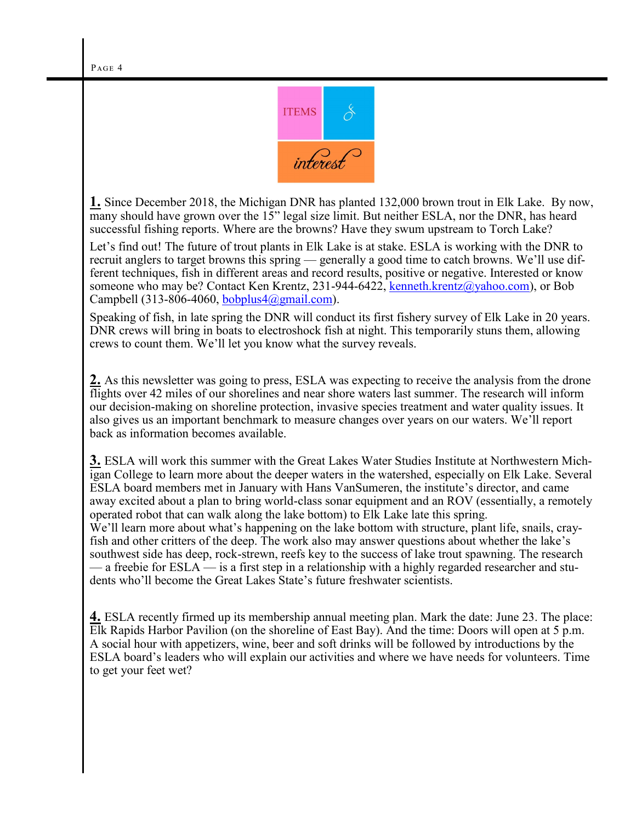

**1.** Since December 2018, the Michigan DNR has planted 132,000 brown trout in Elk Lake. By now, many should have grown over the 15" legal size limit. But neither ESLA, nor the DNR, has heard successful fishing reports. Where are the browns? Have they swum upstream to Torch Lake?

Let's find out! The future of trout plants in Elk Lake is at stake. ESLA is working with the DNR to recruit anglers to target browns this spring — generally a good time to catch browns. We'll use different techniques, fish in different areas and record results, positive or negative. Interested or know someone who may be? Contact Ken Krentz, 231-944-6422, [kenneth.krentz@yahoo.com\),](mailto:kenneth.krentz@yahoo.com) or Bob Campbell (313-806-4060, bobplus $4@gmail.com$ ).

Speaking of fish, in late spring the DNR will conduct its first fishery survey of Elk Lake in 20 years. DNR crews will bring in boats to electroshock fish at night. This temporarily stuns them, allowing crews to count them. We'll let you know what the survey reveals.

**2.** As this newsletter was going to press, ESLA was expecting to receive the analysis from the drone flights over 42 miles of our shorelines and near shore waters last summer. The research will inform our decision-making on shoreline protection, invasive species treatment and water quality issues. It also gives us an important benchmark to measure changes over years on our waters. We'll report back as information becomes available.

**3.** ESLA will work this summer with the Great Lakes Water Studies Institute at Northwestern Michigan College to learn more about the deeper waters in the watershed, especially on Elk Lake. Several ESLA board members met in January with Hans VanSumeren, the institute's director, and came away excited about a plan to bring world-class sonar equipment and an ROV (essentially, a remotely operated robot that can walk along the lake bottom) to Elk Lake late this spring. We'll learn more about what's happening on the lake bottom with structure, plant life, snails, crayfish and other critters of the deep. The work also may answer questions about whether the lake's southwest side has deep, rock-strewn, reefs key to the success of lake trout spawning. The research — a freebie for ESLA — is a first step in a relationship with a highly regarded researcher and students who'll become the Great Lakes State's future freshwater scientists.

**4.** ESLA recently firmed up its membership annual meeting plan. Mark the date: June 23. The place: Elk Rapids Harbor Pavilion (on the shoreline of East Bay). And the time: Doors will open at 5 p.m. A social hour with appetizers, wine, beer and soft drinks will be followed by introductions by the ESLA board's leaders who will explain our activities and where we have needs for volunteers. Time to get your feet wet?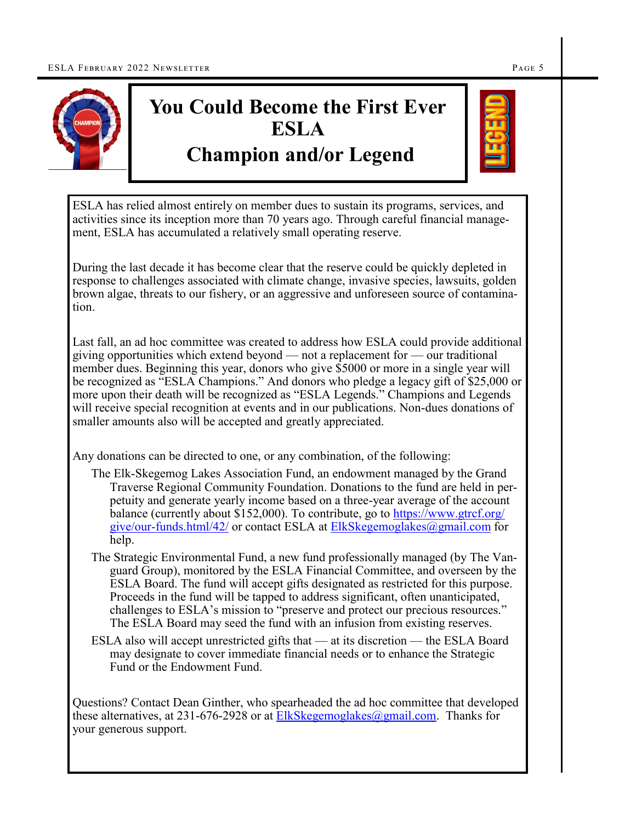

# **You Could Become the First Ever ESLA Champion and/or Legend**



ESLA has relied almost entirely on member dues to sustain its programs, services, and activities since its inception more than 70 years ago. Through careful financial management, ESLA has accumulated a relatively small operating reserve.

During the last decade it has become clear that the reserve could be quickly depleted in response to challenges associated with climate change, invasive species, lawsuits, golden brown algae, threats to our fishery, or an aggressive and unforeseen source of contamination.

Last fall, an ad hoc committee was created to address how ESLA could provide additional giving opportunities which extend beyond — not a replacement for — our traditional member dues. Beginning this year, donors who give \$5000 or more in a single year will be recognized as "ESLA Champions." And donors who pledge a legacy gift of \$25,000 or more upon their death will be recognized as "ESLA Legends." Champions and Legends will receive special recognition at events and in our publications. Non-dues donations of smaller amounts also will be accepted and greatly appreciated.

Any donations can be directed to one, or any combination, of the following:

- The Elk-Skegemog Lakes Association Fund, an endowment managed by the Grand Traverse Regional Community Foundation. Donations to the fund are held in perpetuity and generate yearly income based on a three-year average of the account balance (currently about \$152,000). To contribute, go to [https://www.gtrcf.org/](https://www.gtrcf.org/give/our-funds.html/42/) give/our-[funds.html/42/](https://www.gtrcf.org/give/our-funds.html/42/) or contact ESLA at [ElkSkegemoglakes@gmail.com](mailto:ElkSkegemoglakes@gmail.com) for help.
- The Strategic Environmental Fund, a new fund professionally managed (by The Vanguard Group), monitored by the ESLA Financial Committee, and overseen by the ESLA Board. The fund will accept gifts designated as restricted for this purpose. Proceeds in the fund will be tapped to address significant, often unanticipated, challenges to ESLA's mission to "preserve and protect our precious resources." The ESLA Board may seed the fund with an infusion from existing reserves.
- ESLA also will accept unrestricted gifts that at its discretion the ESLA Board may designate to cover immediate financial needs or to enhance the Strategic Fund or the Endowment Fund.

Questions? Contact Dean Ginther, who spearheaded the ad hoc committee that developed these alternatives, at  $231-676-2928$  or at ElkSkegemoglakes $@g$ gmail.com. Thanks for your generous support.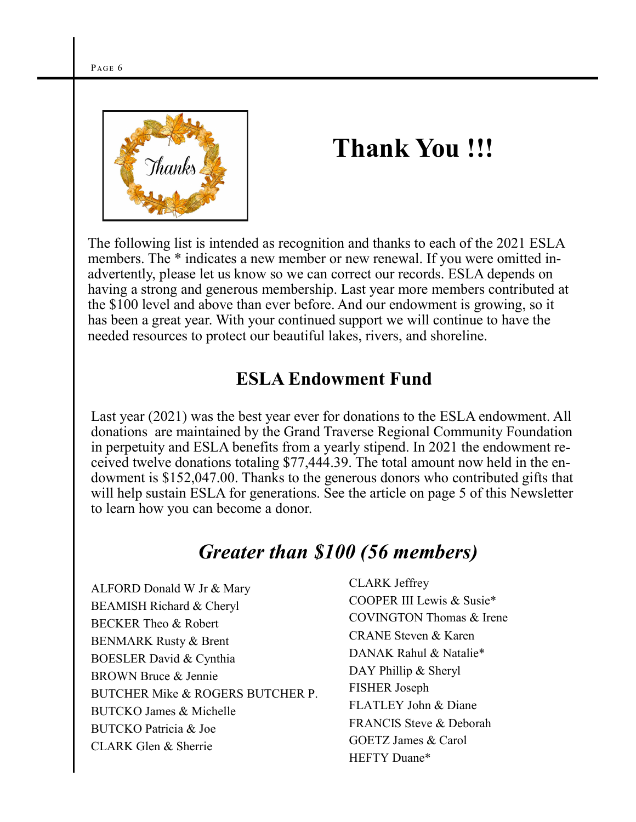

# **Thank You !!!**

The following list is intended as recognition and thanks to each of the 2021 ESLA members. The  $*$  indicates a new member or new renewal. If you were omitted inadvertently, please let us know so we can correct our records. ESLA depends on having a strong and generous membership. Last year more members contributed at the \$100 level and above than ever before. And our endowment is growing, so it has been a great year. With your continued support we will continue to have the needed resources to protect our beautiful lakes, rivers, and shoreline.

### **ESLA Endowment Fund**

Last year (2021) was the best year ever for donations to the ESLA endowment. All donations are maintained by the Grand Traverse Regional Community Foundation in perpetuity and ESLA benefits from a yearly stipend. In 2021 the endowment received twelve donations totaling \$77,444.39. The total amount now held in the endowment is \$152,047.00. Thanks to the generous donors who contributed gifts that will help sustain ESLA for generations. See the article on page 5 of this Newsletter to learn how you can become a donor.

## *Greater than \$100 (56 members)*

ALFORD Donald W Jr & Mary BEAMISH Richard & Cheryl BECKER Theo & Robert BENMARK Rusty & Brent BOESLER David & Cynthia BROWN Bruce & Jennie BUTCHER Mike & ROGERS BUTCHER P. BUTCKO James & Michelle BUTCKO Patricia & Joe CLARK Glen & Sherrie

CLARK Jeffrey COOPER III Lewis & Susie\* COVINGTON Thomas & Irene CRANE Steven & Karen DANAK Rahul & Natalie\* DAY Phillip & Sheryl FISHER Joseph FLATLEY John & Diane FRANCIS Steve & Deborah GOETZ James & Carol HEFTY Duane\*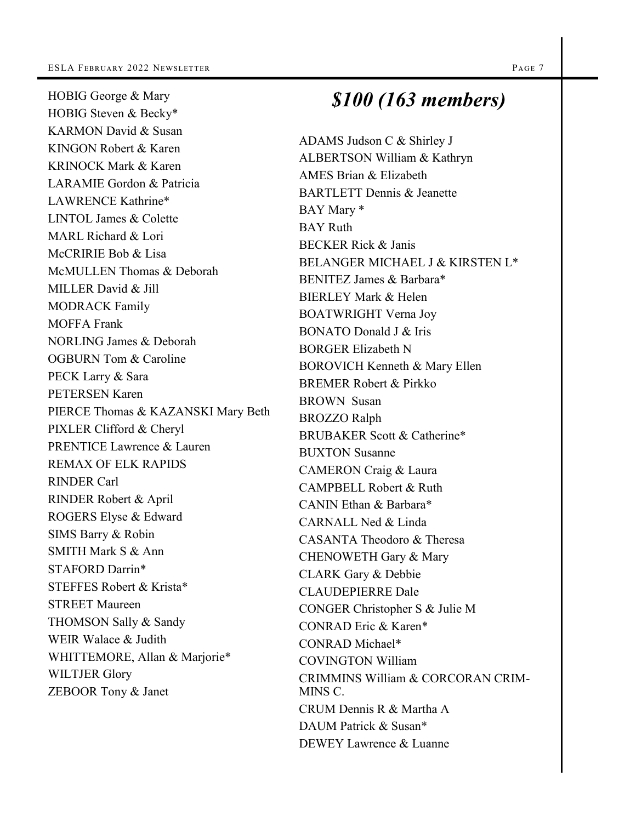HOBIG George & Mary

AMES Brian & Elizabeth *\$100 (163 members)*

HOBIG Steven & Becky\* KARMON David & Susan KINGON Robert & Karen KRINOCK Mark & Karen LARAMIE Gordon & Patricia LAWRENCE Kathrine\* LINTOL James & Colette MARL Richard & Lori McCRIRIE Bob & Lisa McMULLEN Thomas & Deborah MILLER David & Jill MODRACK Family MOFFA Frank NORLING James & Deborah OGBURN Tom & Caroline PECK Larry & Sara PETERSEN Karen PIERCE Thomas & KAZANSKI Mary Beth PIXLER Clifford & Cheryl PRENTICE Lawrence & Lauren REMAX OF ELK RAPIDS RINDER Carl RINDER Robert & April ROGERS Elyse & Edward SIMS Barry & Robin SMITH Mark S & Ann STAFORD Darrin\* STEFFES Robert & Krista\* STREET Maureen THOMSON Sally & Sandy WEIR Walace & Judith WHITTEMORE, Allan & Marjorie\* WILTJER Glory ZEBOOR Tony & Janet

#### ADAMS Judson C & Shirley J ALBERTSON William & Kathryn BARTLETT Dennis & Jeanette BAY Mary \* BAY Ruth BECKER Rick & Janis BELANGER MICHAEL J & KIRSTEN L\* BENITEZ James & Barbara\* BIERLEY Mark & Helen BOATWRIGHT Verna Joy BONATO Donald J & Iris BORGER Elizabeth N BOROVICH Kenneth & Mary Ellen BREMER Robert & Pirkko BROWN Susan BROZZO Ralph BRUBAKER Scott & Catherine\* BUXTON Susanne CAMERON Craig & Laura CAMPBELL Robert & Ruth

CANIN Ethan & Barbara\* CARNALL Ned & Linda CASANTA Theodoro & Theresa CHENOWETH Gary & Mary CLARK Gary & Debbie CLAUDEPIERRE Dale CONGER Christopher S & Julie M CONRAD Eric & Karen\* CONRAD Michael\* COVINGTON William CRIMMINS William & CORCORAN CRIM-MINS C. CRUM Dennis R & Martha A DAUM Patrick & Susan\* DEWEY Lawrence & Luanne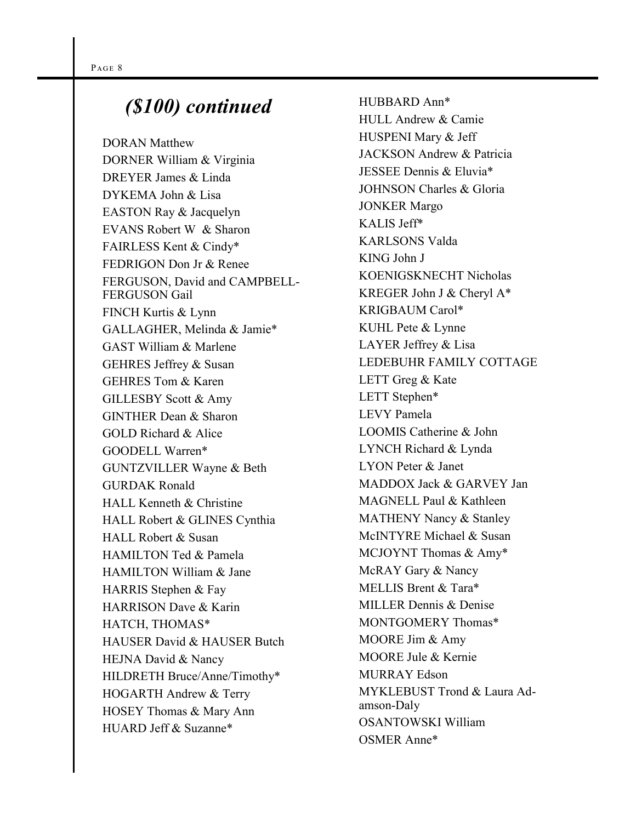### *(\$100) continued*

DORAN Matthew DORNER William & Virginia DREYER James & Linda DYKEMA John & Lisa EASTON Ray & Jacquelyn EVANS Robert W & Sharon FAIRLESS Kent & Cindy\* FEDRIGON Don Jr & Renee FERGUSON, David and CAMPBELL-FERGUSON Gail FINCH Kurtis & Lynn GALLAGHER, Melinda & Jamie\* GAST William & Marlene GEHRES Jeffrey & Susan GEHRES Tom & Karen GILLESBY Scott & Amy GINTHER Dean & Sharon GOLD Richard & Alice GOODELL Warren\* GUNTZVILLER Wayne & Beth GURDAK Ronald HALL Kenneth & Christine HALL Robert & GLINES Cynthia HALL Robert & Susan HAMILTON Ted & Pamela HAMILTON William & Jane HARRIS Stephen & Fay HARRISON Dave & Karin HATCH, THOMAS\* HAUSER David & HAUSER Butch HEJNA David & Nancy HILDRETH Bruce/Anne/Timothy\* HOGARTH Andrew & Terry HOSEY Thomas & Mary Ann HUARD Jeff & Suzanne\*

HUBBARD Ann\* HULL Andrew & Camie HUSPENI Mary & Jeff JACKSON Andrew & Patricia JESSEE Dennis & Eluvia\* JOHNSON Charles & Gloria JONKER Margo KALIS Jeff\* KARLSONS Valda KING John J KOENIGSKNECHT Nicholas KREGER John J & Cheryl A\* KRIGBAUM Carol\* KUHL Pete & Lynne LAYER Jeffrey & Lisa LEDEBUHR FAMILY COTTAGE LETT Greg & Kate LETT Stephen\* LEVY Pamela LOOMIS Catherine & John LYNCH Richard & Lynda LYON Peter & Janet MADDOX Jack & GARVEY Jan MAGNELL Paul & Kathleen MATHENY Nancy & Stanley McINTYRE Michael & Susan MCJOYNT Thomas & Amy\* McRAY Gary & Nancy MELLIS Brent & Tara\* MILLER Dennis & Denise MONTGOMERY Thomas\* MOORE Jim & Amy MOORE Jule & Kernie MURRAY Edson MYKLEBUST Trond & Laura Adamson-Daly OSANTOWSKI William OSMER Anne\*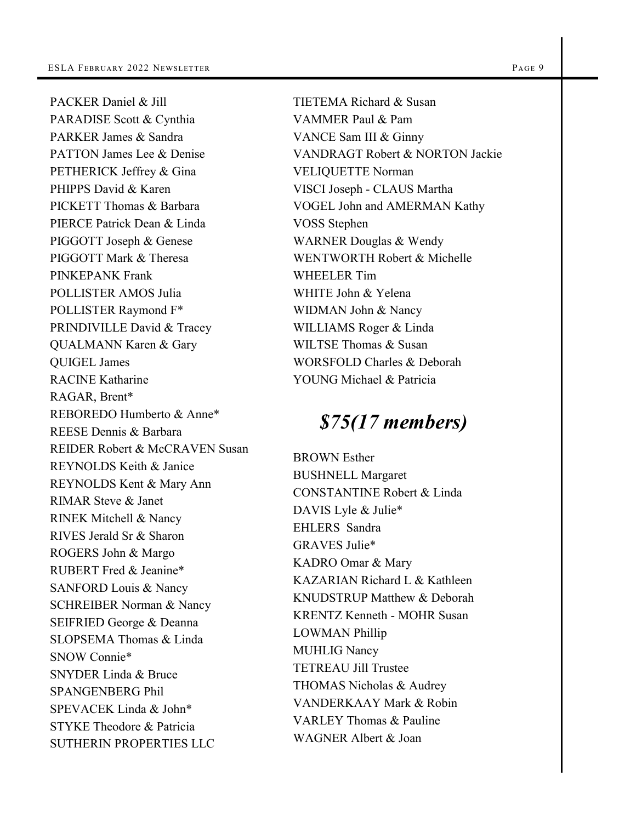PACKER Daniel & Jill PARADISE Scott & Cynthia PARKER James & Sandra PATTON James Lee & Denise PETHERICK Jeffrey & Gina PHIPPS David & Karen PICKETT Thomas & Barbara PIERCE Patrick Dean & Linda PIGGOTT Joseph & Genese PIGGOTT Mark & Theresa PINKEPANK Frank POLLISTER AMOS Julia POLLISTER Raymond F\* PRINDIVILLE David & Tracey QUALMANN Karen & Gary QUIGEL James RACINE Katharine RAGAR, Brent\* REBOREDO Humberto & Anne\* REESE Dennis & Barbara REIDER Robert & McCRAVEN Susan REYNOLDS Keith & Janice REYNOLDS Kent & Mary Ann RIMAR Steve & Janet RINEK Mitchell & Nancy RIVES Jerald Sr & Sharon ROGERS John & Margo RUBERT Fred & Jeanine\* SANFORD Louis & Nancy SCHREIBER Norman & Nancy SEIFRIED George & Deanna SLOPSEMA Thomas & Linda SNOW Connie\* SNYDER Linda & Bruce SPANGENBERG Phil SPEVACEK Linda & John\* STYKE Theodore & Patricia SUTHERIN PROPERTIES LLC

TIETEMA Richard & Susan VAMMER Paul & Pam VANCE Sam III & Ginny VANDRAGT Robert & NORTON Jackie VELIQUETTE Norman VISCI Joseph - CLAUS Martha VOGEL John and AMERMAN Kathy VOSS Stephen WARNER Douglas & Wendy WENTWORTH Robert & Michelle WHEELER Tim WHITE John & Yelena WIDMAN John & Nancy WILLIAMS Roger & Linda WILTSE Thomas & Susan WORSFOLD Charles & Deborah YOUNG Michael & Patricia

## *\$75(17 members)*

BROWN Esther BUSHNELL Margaret CONSTANTINE Robert & Linda DAVIS Lyle & Julie\* EHLERS Sandra GRAVES Julie\* KADRO Omar & Mary KAZARIAN Richard L & Kathleen KNUDSTRUP Matthew & Deborah KRENTZ Kenneth - MOHR Susan LOWMAN Phillip MUHLIG Nancy TETREAU Jill Trustee THOMAS Nicholas & Audrey VANDERKAAY Mark & Robin VARLEY Thomas & Pauline WAGNER Albert & Joan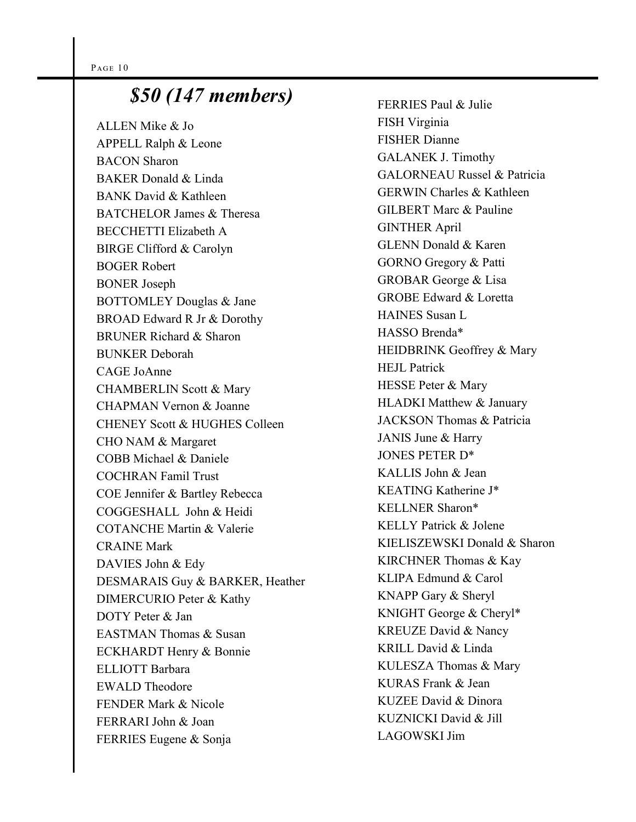# *\$50 (147 members)*

ALLEN Mike & Jo APPELL Ralph & Leone BACON Sharon BAKER Donald & Linda BANK David & Kathleen BATCHELOR James & Theresa BECCHETTI Elizabeth A BIRGE Clifford & Carolyn BOGER Robert BONER Joseph BOTTOMLEY Douglas & Jane BROAD Edward R Jr & Dorothy BRUNER Richard & Sharon BUNKER Deborah CAGE JoAnne CHAMBERLIN Scott & Mary CHAPMAN Vernon & Joanne CHENEY Scott & HUGHES Colleen CHO NAM & Margaret COBB Michael & Daniele COCHRAN Famil Trust COE Jennifer & Bartley Rebecca COGGESHALL John & Heidi COTANCHE Martin & Valerie CRAINE Mark DAVIES John & Edy DESMARAIS Guy & BARKER, Heather DIMERCURIO Peter & Kathy DOTY Peter & Jan EASTMAN Thomas & Susan ECKHARDT Henry & Bonnie ELLIOTT Barbara EWALD Theodore FENDER Mark & Nicole FERRARI John & Joan FERRIES Eugene & Sonja

FERRIES Paul & Julie FISH Virginia FISHER Dianne GALANEK J. Timothy GALORNEAU Russel & Patricia GERWIN Charles & Kathleen GILBERT Marc & Pauline GINTHER April GLENN Donald & Karen GORNO Gregory & Patti GROBAR George & Lisa GROBE Edward & Loretta HAINES Susan L HASSO Brenda\* HEIDBRINK Geoffrey & Mary HEJL Patrick HESSE Peter & Mary HLADKI Matthew & January JACKSON Thomas & Patricia JANIS June & Harry JONES PETER D\* KALLIS John & Jean KEATING Katherine J\* KELLNER Sharon\* KELLY Patrick & Jolene KIELISZEWSKI Donald & Sharon KIRCHNER Thomas & Kay KLIPA Edmund & Carol KNAPP Gary & Sheryl KNIGHT George & Cheryl\* KREUZE David & Nancy KRILL David & Linda KULESZA Thomas & Mary KURAS Frank & Jean KUZEE David & Dinora KUZNICKI David & Jill LAGOWSKI Jim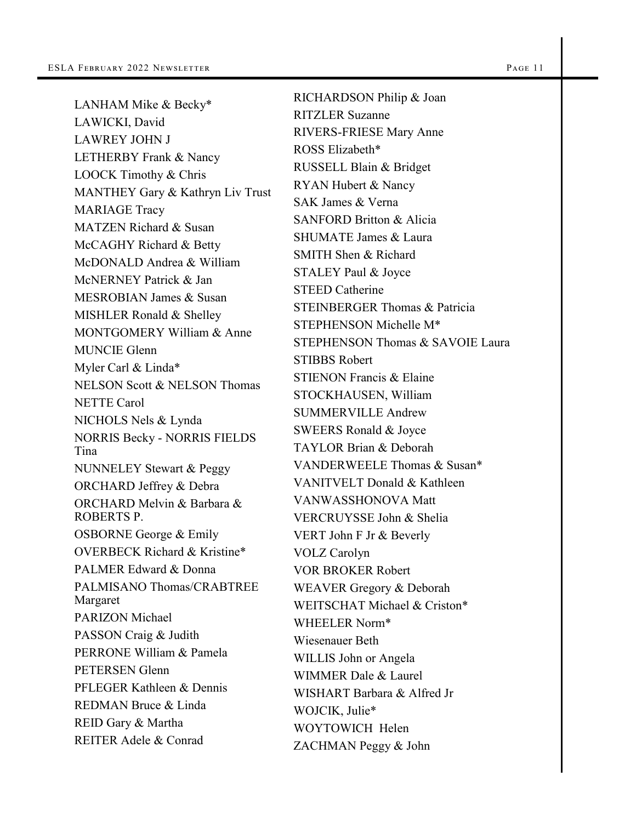LANHAM Mike & Becky\* LAWICKI, David LAWREY JOHN J LETHERBY Frank & Nancy LOOCK Timothy & Chris MANTHEY Gary & Kathryn Liv Trust MARIAGE Tracy MATZEN Richard & Susan McCAGHY Richard & Betty McDONALD Andrea & William McNERNEY Patrick & Jan MESROBIAN James & Susan MISHLER Ronald & Shelley MONTGOMERY William & Anne MUNCIE Glenn Myler Carl & Linda\* NELSON Scott & NELSON Thomas NETTE Carol NICHOLS Nels & Lynda NORRIS Becky - NORRIS FIELDS Tina NUNNELEY Stewart & Peggy ORCHARD Jeffrey & Debra ORCHARD Melvin & Barbara & ROBERTS P. OSBORNE George & Emily OVERBECK Richard & Kristine\* PALMER Edward & Donna PALMISANO Thomas/CRABTREE Margaret PARIZON Michael PASSON Craig & Judith PERRONE William & Pamela PETERSEN Glenn PFLEGER Kathleen & Dennis REDMAN Bruce & Linda REID Gary & Martha REITER Adele & Conrad

RICHARDSON Philip & Joan RITZLER Suzanne RIVERS-FRIESE Mary Anne ROSS Elizabeth\* RUSSELL Blain & Bridget RYAN Hubert & Nancy SAK James & Verna SANFORD Britton & Alicia SHUMATE James & Laura SMITH Shen & Richard STALEY Paul & Joyce STEED Catherine STEINBERGER Thomas & Patricia STEPHENSON Michelle M\* STEPHENSON Thomas & SAVOIE Laura STIBBS Robert STIENON Francis & Elaine STOCKHAUSEN, William SUMMERVILLE Andrew SWEERS Ronald & Joyce TAYLOR Brian & Deborah VANDERWEELE Thomas & Susan\* VANITVELT Donald & Kathleen VANWASSHONOVA Matt VERCRUYSSE John & Shelia VERT John F Jr & Beverly VOLZ Carolyn VOR BROKER Robert WEAVER Gregory & Deborah WEITSCHAT Michael & Criston\* WHEELER Norm\* Wiesenauer Beth WILLIS John or Angela WIMMER Dale & Laurel WISHART Barbara & Alfred Jr WOJCIK, Julie\* WOYTOWICH Helen ZACHMAN Peggy & John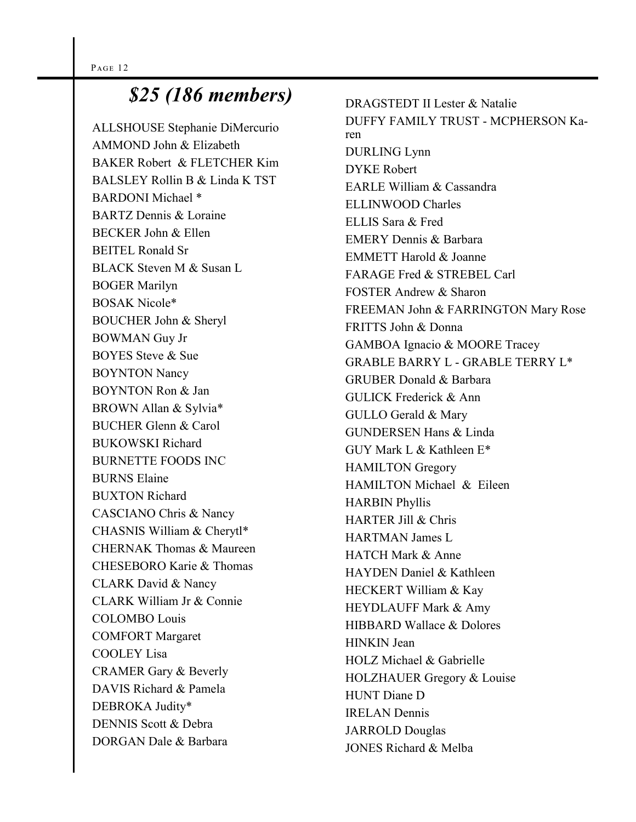### *\$25 (186 members)*

ALLSHOUSE Stephanie DiMercurio AMMOND John & Elizabeth BAKER Robert & FLETCHER Kim BALSLEY Rollin B & Linda K TST BARDONI Michael \* BARTZ Dennis & Loraine BECKER John & Ellen BEITEL Ronald Sr BLACK Steven M & Susan L BOGER Marilyn BOSAK Nicole\* BOUCHER John & Sheryl BOWMAN Guy Jr BOYES Steve & Sue BOYNTON Nancy BOYNTON Ron & Jan BROWN Allan & Sylvia\* BUCHER Glenn & Carol BUKOWSKI Richard BURNETTE FOODS INC BURNS Elaine BUXTON Richard CASCIANO Chris & Nancy CHASNIS William & Cherytl\* CHERNAK Thomas & Maureen CHESEBORO Karie & Thomas CLARK David & Nancy CLARK William Jr & Connie COLOMBO Louis COMFORT Margaret COOLEY Lisa CRAMER Gary & Beverly DAVIS Richard & Pamela DEBROKA Judity\* DENNIS Scott & Debra DORGAN Dale & Barbara

DRAGSTEDT II Lester & Natalie DUFFY FAMILY TRUST - MCPHERSON Karen DURLING Lynn DYKE Robert EARLE William & Cassandra ELLINWOOD Charles ELLIS Sara & Fred EMERY Dennis & Barbara EMMETT Harold & Joanne FARAGE Fred & STREBEL Carl FOSTER Andrew & Sharon FREEMAN John & FARRINGTON Mary Rose FRITTS John & Donna GAMBOA Ignacio & MOORE Tracey GRABLE BARRY L - GRABLE TERRY L\* GRUBER Donald & Barbara GULICK Frederick & Ann GULLO Gerald & Mary GUNDERSEN Hans & Linda GUY Mark L & Kathleen E\* HAMILTON Gregory HAMILTON Michael & Eileen HARBIN Phyllis HARTER Jill & Chris HARTMAN James L HATCH Mark & Anne HAYDEN Daniel & Kathleen HECKERT William & Kay HEYDLAUFF Mark & Amy HIBBARD Wallace & Dolores HINKIN Jean HOLZ Michael & Gabrielle HOLZHAUER Gregory & Louise HUNT Diane D IRELAN Dennis JARROLD Douglas JONES Richard & Melba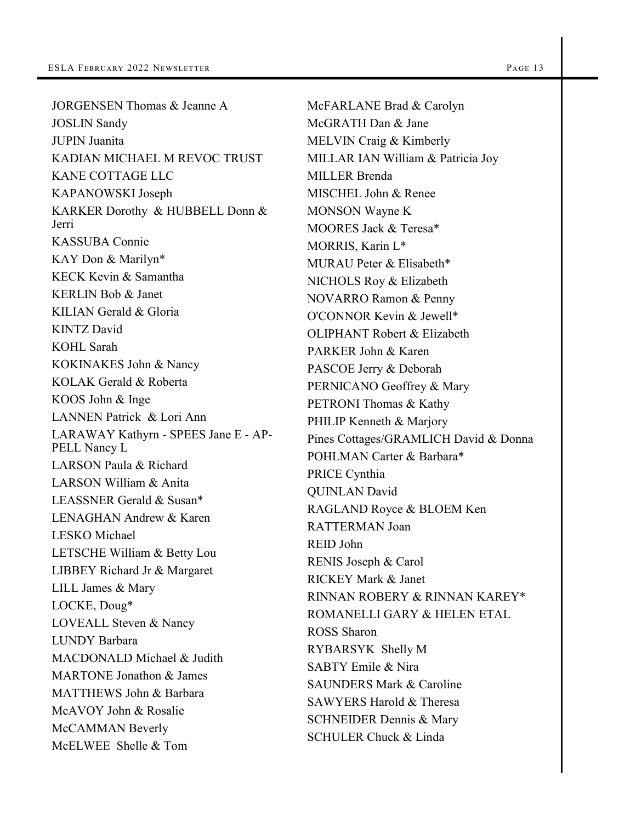JORGENSEN Thomas & Jeanne A JOSLIN Sandy JUPIN Juanita KADIAN MICHAEL M REVOC TRUST KANE COTTAGE LLC KAPANOWSKI Joseph KARKER Dorothy & HUBBELL Donn & Jerri KASSUBA Connie KAY Don & Marilyn\* KECK Kevin & Samantha KERLIN Bob & Janet KILIAN Gerald & Gloria KINTZ David KOHL Sarah KOKINAKES John & Nancy KOLAK Gerald & Roberta KOOS John & Inge LANNEN Patrick & Lori Ann LARAWAY Kathyrn - SPEES Jane E - AP-PELL Nancy L LARSON Paula & Richard LARSON William & Anita LEASSNER Gerald & Susan\* LENAGHAN Andrew & Karen LESKO Michael LETSCHE William & Betty Lou LIBBEY Richard Jr & Margaret LILL James & Mary LOCKE, Doug\* LOVEALL Steven & Nancy LUNDY Barbara MACDONALD Michael & Judith MARTONE Jonathon & James MATTHEWS John & Barbara McAVOY John & Rosalie McCAMMAN Beverly McELWEE Shelle & Tom

McFARLANE Brad & Carolyn McGRATH Dan & Jane MELVIN Craig & Kimberly MILLAR IAN William & Patricia Joy MILLER Brenda MISCHEL John & Renee MONSON Wayne K MOORES Jack & Teresa\* MORRIS, Karin L\* MURAU Peter & Elisabeth\* NICHOLS Roy & Elizabeth NOVARRO Ramon & Penny O'CONNOR Kevin & Jewell\* OLIPHANT Robert & Elizabeth PARKER John & Karen PASCOE Jerry & Deborah PERNICANO Geoffrey & Mary PETRONI Thomas & Kathy PHILIP Kenneth & Marjory Pines Cottages/GRAMLICH David & Donna POHLMAN Carter & Barbara\* PRICE Cynthia QUINLAN David RAGLAND Royce & BLOEM Ken RATTERMAN Joan REID John RENIS Joseph & Carol RICKEY Mark & Janet RINNAN ROBERY & RINNAN KAREY\* ROMANELLI GARY & HELEN ETAL ROSS Sharon RYBARSYK Shelly M SABTY Emile & Nira SAUNDERS Mark & Caroline SAWYERS Harold & Theresa SCHNEIDER Dennis & Mary SCHULER Chuck & Linda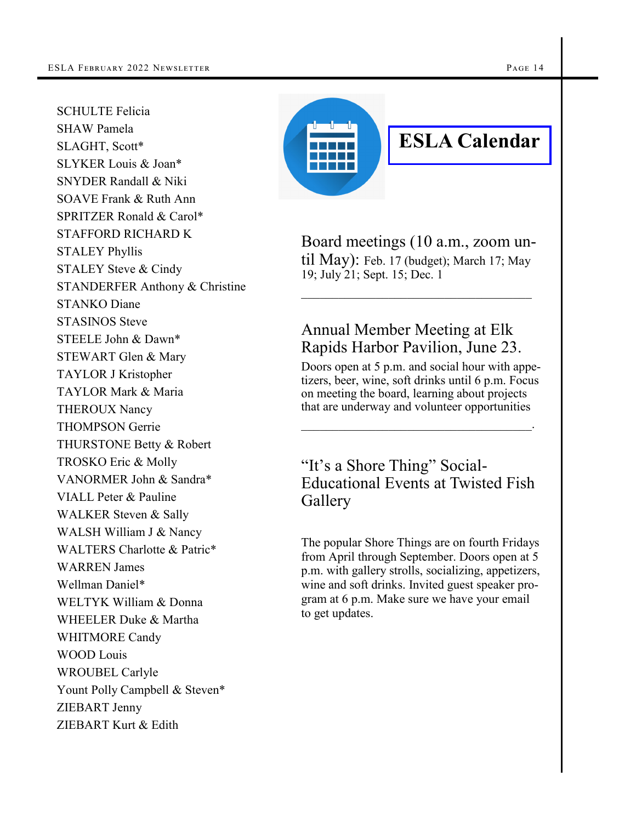SCHULTE Felicia SHAW Pamela SLAGHT, Scott\* SLYKER Louis & Joan\* SNYDER Randall & Niki SOAVE Frank & Ruth Ann SPRITZER Ronald & Carol\* STAFFORD RICHARD K STALEY Phyllis STALEY Steve & Cindy STANDERFER Anthony & Christine STANKO Diane STASINOS Steve STEELE John & Dawn\* STEWART Glen & Mary TAYLOR J Kristopher TAYLOR Mark & Maria THEROUX Nancy THOMPSON Gerrie THURSTONE Betty & Robert TROSKO Eric & Molly VANORMER John & Sandra\* VIALL Peter & Pauline WALKER Steven & Sally WALSH William J & Nancy WALTERS Charlotte & Patric\* WARREN James Wellman Daniel\* WELTYK William & Donna WHEELER Duke & Martha WHITMORE Candy WOOD Louis WROUBEL Carlyle Yount Polly Campbell & Steven\* ZIEBART Jenny ZIEBART Kurt & Edith



# **ESLA Calendar**

Board meetings (10 a.m., zoom until May): Feb. 17 (budget); March 17; May 19; July 21; Sept. 15; Dec. 1

#### Annual Member Meeting at Elk Rapids Harbor Pavilion, June 23.

Doors open at 5 p.m. and social hour with appetizers, beer, wine, soft drinks until 6 p.m. Focus on meeting the board, learning about projects that are underway and volunteer opportunities

 $\mathcal{L}_\text{max}$  and  $\mathcal{L}_\text{max}$  and  $\mathcal{L}_\text{max}$  and  $\mathcal{L}_\text{max}$ 

#### "It's a Shore Thing" Social-Educational Events at Twisted Fish Gallery

The popular Shore Things are on fourth Fridays from April through September. Doors open at 5 p.m. with gallery strolls, socializing, appetizers, wine and soft drinks. Invited guest speaker program at 6 p.m. Make sure we have your email to get updates.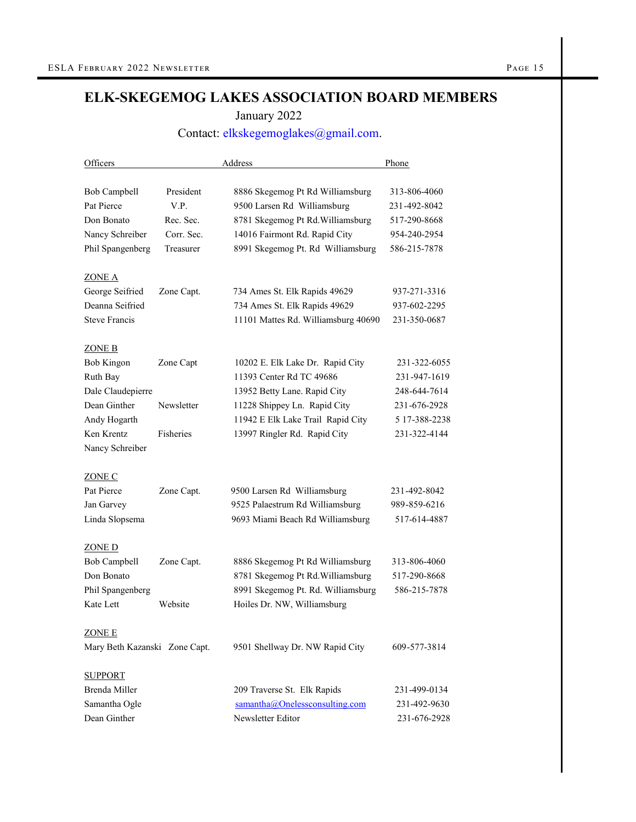#### **ELK-SKEGEMOG LAKES ASSOCIATION BOARD MEMBERS**

January 2022

#### Contact: [elkskegemoglakes@gmail.com.](file:///C:/Users/User/Downloads/elkskegemoglakes@gmail.com)

| Officers                      |            | Address                             | Phone         |
|-------------------------------|------------|-------------------------------------|---------------|
|                               |            |                                     |               |
| Bob Campbell                  | President  | 8886 Skegemog Pt Rd Williamsburg    | 313-806-4060  |
| Pat Pierce                    | V.P.       | 9500 Larsen Rd Williamsburg         | 231-492-8042  |
| Don Bonato                    | Rec. Sec.  | 8781 Skegemog Pt Rd. Williamsburg   | 517-290-8668  |
| Nancy Schreiber               | Corr. Sec. | 14016 Fairmont Rd. Rapid City       | 954-240-2954  |
| Phil Spangenberg              | Treasurer  | 8991 Skegemog Pt. Rd Williamsburg   | 586-215-7878  |
| <u>ZONE A</u>                 |            |                                     |               |
| George Seifried               | Zone Capt. | 734 Ames St. Elk Rapids 49629       | 937-271-3316  |
| Deanna Seifried               |            | 734 Ames St. Elk Rapids 49629       | 937-602-2295  |
| <b>Steve Francis</b>          |            | 11101 Mattes Rd. Williamsburg 40690 | 231-350-0687  |
| <b>ZONE B</b>                 |            |                                     |               |
| Bob Kingon                    | Zone Capt  | 10202 E. Elk Lake Dr. Rapid City    | 231-322-6055  |
| Ruth Bay                      |            | 11393 Center Rd TC 49686            | 231-947-1619  |
| Dale Claudepierre             |            | 13952 Betty Lane. Rapid City        | 248-644-7614  |
| Dean Ginther                  | Newsletter | 11228 Shippey Ln. Rapid City        | 231-676-2928  |
| Andy Hogarth                  |            | 11942 E Elk Lake Trail Rapid City   | 5 17-388-2238 |
| Ken Krentz                    | Fisheries  | 13997 Ringler Rd. Rapid City        | 231-322-4144  |
| Nancy Schreiber               |            |                                     |               |
| <b>ZONE C</b>                 |            |                                     |               |
| Pat Pierce                    | Zone Capt. | 9500 Larsen Rd Williamsburg         | 231-492-8042  |
| Jan Garvey                    |            | 9525 Palaestrum Rd Williamsburg     | 989-859-6216  |
| Linda Slopsema                |            | 9693 Miami Beach Rd Williamsburg    | 517-614-4887  |
| <b>ZONE D</b>                 |            |                                     |               |
| Bob Campbell                  | Zone Capt. | 8886 Skegemog Pt Rd Williamsburg    | 313-806-4060  |
| Don Bonato                    |            | 8781 Skegemog Pt Rd. Williamsburg   | 517-290-8668  |
| Phil Spangenberg              |            | 8991 Skegemog Pt. Rd. Williamsburg  | 586-215-7878  |
| Kate Lett                     | Website    | Hoiles Dr. NW, Williamsburg         |               |
| <u>ZONE E</u>                 |            |                                     |               |
| Mary Beth Kazanski Zone Capt. |            | 9501 Shellway Dr. NW Rapid City     | 609-577-3814  |
| <b>SUPPORT</b>                |            |                                     |               |
| Brenda Miller                 |            | 209 Traverse St. Elk Rapids         | 231-499-0134  |
| Samantha Ogle                 |            | samantha@Onelessconsulting.com      | 231-492-9630  |
| Dean Ginther                  |            | Newsletter Editor                   | 231-676-2928  |